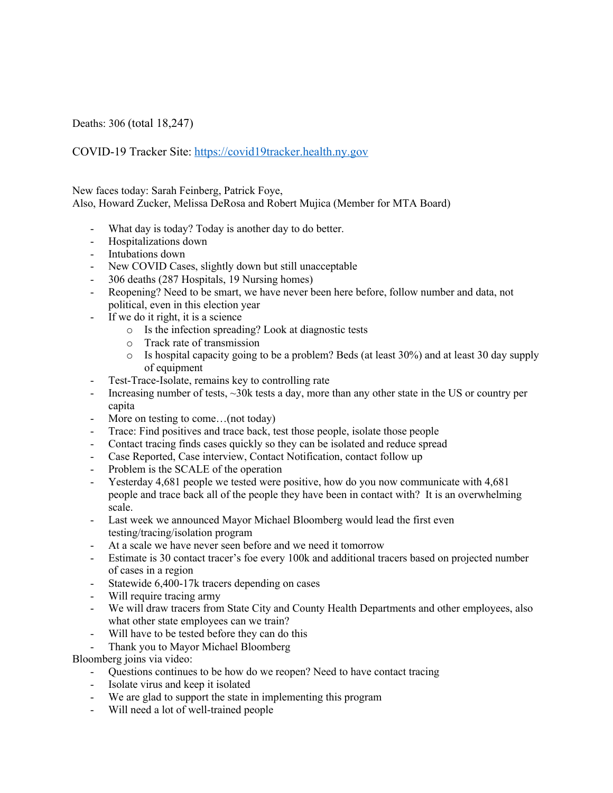Deaths: 306 (total 18,247)

COVID-19 Tracker Site: https://covid19tracker.health.ny.gov

New faces today: Sarah Feinberg, Patrick Foye, Also, Howard Zucker, Melissa DeRosa and Robert Mujica (Member for MTA Board)

- What day is today? Today is another day to do better.
- Hospitalizations down
- Intubations down
- New COVID Cases, slightly down but still unacceptable
- 306 deaths (287 Hospitals, 19 Nursing homes)
- Reopening? Need to be smart, we have never been here before, follow number and data, not political, even in this election year
- If we do it right, it is a science
	- o Is the infection spreading? Look at diagnostic tests
	- o Track rate of transmission
	- o Is hospital capacity going to be a problem? Beds (at least 30%) and at least 30 day supply of equipment
- Test-Trace-Isolate, remains key to controlling rate
- Increasing number of tests,  $\sim$ 30k tests a day, more than any other state in the US or country per capita
- More on testing to come...(not today)
- Trace: Find positives and trace back, test those people, isolate those people
- Contact tracing finds cases quickly so they can be isolated and reduce spread
- Case Reported, Case interview, Contact Notification, contact follow up
- Problem is the SCALE of the operation
- Yesterday 4,681 people we tested were positive, how do you now communicate with 4,681 people and trace back all of the people they have been in contact with? It is an overwhelming scale.
- Last week we announced Mayor Michael Bloomberg would lead the first even testing/tracing/isolation program
- At a scale we have never seen before and we need it tomorrow
- Estimate is 30 contact tracer's foe every 100k and additional tracers based on projected number of cases in a region
- Statewide 6,400-17k tracers depending on cases
- Will require tracing army
- We will draw tracers from State City and County Health Departments and other employees, also what other state employees can we train?
- Will have to be tested before they can do this
- Thank you to Mayor Michael Bloomberg

Bloomberg joins via video:

- Questions continues to be how do we reopen? Need to have contact tracing
- Isolate virus and keep it isolated
- We are glad to support the state in implementing this program
- Will need a lot of well-trained people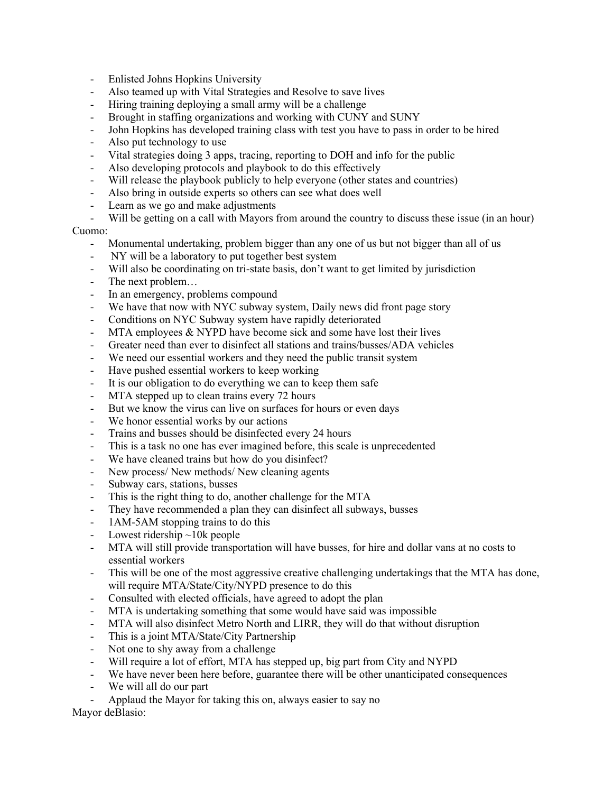- Enlisted Johns Hopkins University
- Also teamed up with Vital Strategies and Resolve to save lives
- Hiring training deploying a small army will be a challenge
- Brought in staffing organizations and working with CUNY and SUNY
- John Hopkins has developed training class with test you have to pass in order to be hired
- Also put technology to use
- Vital strategies doing 3 apps, tracing, reporting to DOH and info for the public
- Also developing protocols and playbook to do this effectively
- Will release the playbook publicly to help everyone (other states and countries)
- Also bring in outside experts so others can see what does well
- Learn as we go and make adjustments
- Will be getting on a call with Mayors from around the country to discuss these issue (in an hour)

## Cuomo:

- Monumental undertaking, problem bigger than any one of us but not bigger than all of us
- NY will be a laboratory to put together best system
- Will also be coordinating on tri-state basis, don't want to get limited by jurisdiction
- The next problem…
- In an emergency, problems compound
- We have that now with NYC subway system, Daily news did front page story
- Conditions on NYC Subway system have rapidly deteriorated
- MTA employees  $&$  NYPD have become sick and some have lost their lives
- Greater need than ever to disinfect all stations and trains/busses/ADA vehicles
- We need our essential workers and they need the public transit system
- Have pushed essential workers to keep working
- It is our obligation to do everything we can to keep them safe
- MTA stepped up to clean trains every 72 hours
- But we know the virus can live on surfaces for hours or even days
- We honor essential works by our actions
- Trains and busses should be disinfected every 24 hours
- This is a task no one has ever imagined before, this scale is unprecedented
- We have cleaned trains but how do you disinfect?
- New process/ New methods/ New cleaning agents
- Subway cars, stations, busses
- This is the right thing to do, another challenge for the MTA
- They have recommended a plan they can disinfect all subways, busses
- 1AM-5AM stopping trains to do this
- Lowest ridership  $\sim$ 10k people
- MTA will still provide transportation will have busses, for hire and dollar vans at no costs to essential workers
- This will be one of the most aggressive creative challenging undertakings that the MTA has done, will require MTA/State/City/NYPD presence to do this
- Consulted with elected officials, have agreed to adopt the plan
- MTA is undertaking something that some would have said was impossible
- MTA will also disinfect Metro North and LIRR, they will do that without disruption
- This is a joint MTA/State/City Partnership
- Not one to shy away from a challenge
- Will require a lot of effort, MTA has stepped up, big part from City and NYPD
- We have never been here before, guarantee there will be other unanticipated consequences
- We will all do our part
- Applaud the Mayor for taking this on, always easier to say no

Mayor deBlasio: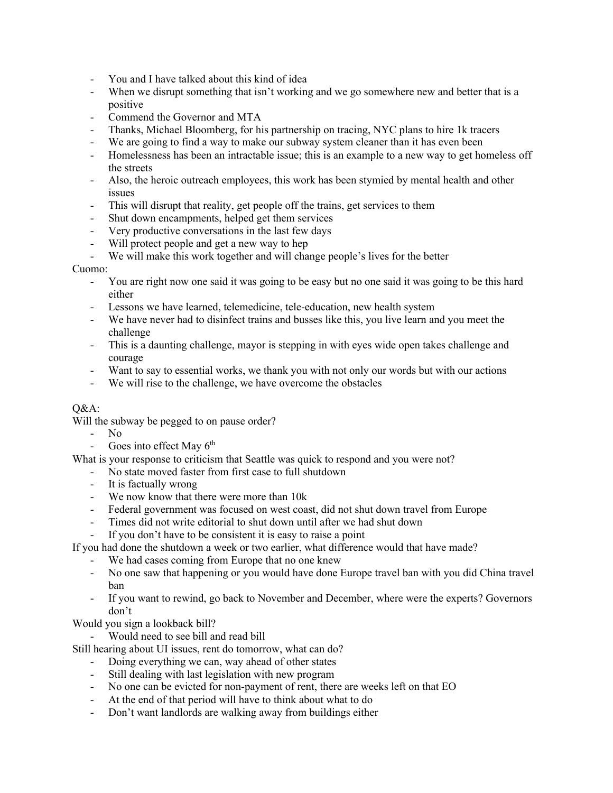- You and I have talked about this kind of idea
- When we disrupt something that isn't working and we go somewhere new and better that is a positive
- Commend the Governor and MTA
- Thanks, Michael Bloomberg, for his partnership on tracing, NYC plans to hire 1k tracers
- We are going to find a way to make our subway system cleaner than it has even been
- Homelessness has been an intractable issue; this is an example to a new way to get homeless off the streets
- Also, the heroic outreach employees, this work has been stymied by mental health and other issues
- This will disrupt that reality, get people off the trains, get services to them
- Shut down encampments, helped get them services
- Very productive conversations in the last few days
- Will protect people and get a new way to hep
- We will make this work together and will change people's lives for the better

## Cuomo:

- You are right now one said it was going to be easy but no one said it was going to be this hard either
- Lessons we have learned, telemedicine, tele-education, new health system
- We have never had to disinfect trains and busses like this, you live learn and you meet the challenge
- This is a daunting challenge, mayor is stepping in with eyes wide open takes challenge and courage
- Want to say to essential works, we thank you with not only our words but with our actions
- We will rise to the challenge, we have overcome the obstacles

## Q&A:

Will the subway be pegged to on pause order?

- No
- Goes into effect May  $6<sup>th</sup>$

What is your response to criticism that Seattle was quick to respond and you were not?

- No state moved faster from first case to full shutdown
- It is factually wrong
- We now know that there were more than 10k
- Federal government was focused on west coast, did not shut down travel from Europe
- Times did not write editorial to shut down until after we had shut down
- If you don't have to be consistent it is easy to raise a point

If you had done the shutdown a week or two earlier, what difference would that have made?

- We had cases coming from Europe that no one knew
- No one saw that happening or you would have done Europe travel ban with you did China travel ban
- If you want to rewind, go back to November and December, where were the experts? Governors don't

Would you sign a lookback bill?

- Would need to see bill and read bill

Still hearing about UI issues, rent do tomorrow, what can do?

- Doing everything we can, way ahead of other states
- Still dealing with last legislation with new program
- No one can be evicted for non-payment of rent, there are weeks left on that EO
- At the end of that period will have to think about what to do
- Don't want landlords are walking away from buildings either